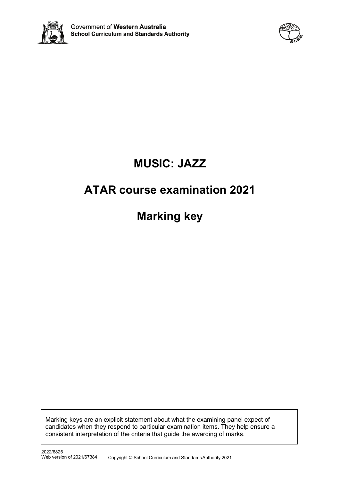



# **MUSIC: JAZZ**

# **ATAR course examination 2021**

**Marking key**

Marking keys are an explicit statement about what the examining panel expect of candidates when they respond to particular examination items. They help ensure a consistent interpretation of the criteria that guide the awarding of marks.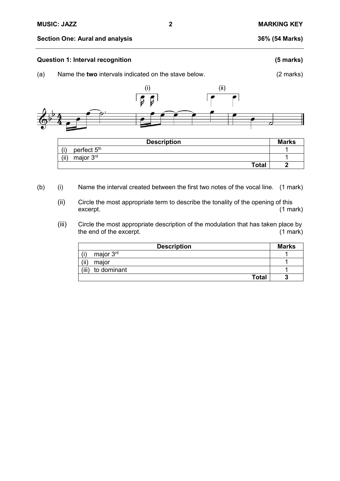#### **Section One: Aural and analysis 36% (54 Marks)**

#### **Question 1: Interval recognition (5 marks)**

(a) Name the **two** intervals indicated on the stave below. (2 marks)



| <b>Description</b>             | <b>Marks</b> |
|--------------------------------|--------------|
| perfect 5 <sup>th</sup><br>(i) |              |
| major 3 <sup>rd</sup><br>(ii)  |              |
| <b>Total</b>                   |              |

- (b) (i) Name the interval created between the first two notes of the vocal line. (1 mark)
	- (ii) Circle the most appropriate term to describe the tonality of the opening of this excerpt. excerpt. (1 mark)
	- (iii) Circle the most appropriate description of the modulation that has taken place by<br>the end of the excerpt. (1 mark) the end of the excerpt.

| <b>Description</b>   | <b>Marks</b> |
|----------------------|--------------|
| major $3rd$          |              |
| (ii)<br>maior        |              |
| (iii)<br>to dominant |              |
| <b>Total</b>         |              |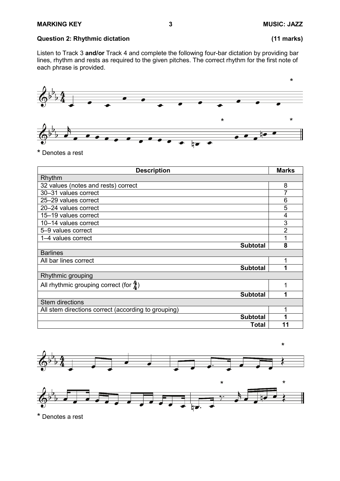#### **Question 2: Rhythmic dictation (11 marks)**

Listen to Track 3 **and/or** Track 4 and complete the following four-bar dictation by providing bar lines, rhythm and rests as required to the given pitches. The correct rhythm for the first note of each phrase is provided.



<sup>\*</sup> Denotes a rest

| <b>Description</b>                                  | <b>Marks</b> |
|-----------------------------------------------------|--------------|
| Rhythm                                              |              |
| 32 values (notes and rests) correct                 | 8            |
| 30-31 values correct                                |              |
| 25-29 values correct                                | 6            |
| 20-24 values correct                                | 5            |
| 15-19 values correct                                | 4            |
| 10-14 values correct                                | 3            |
| 5-9 values correct                                  | 2            |
| 1-4 values correct                                  |              |
| <b>Subtotal</b>                                     | 8            |
| <b>Barlines</b>                                     |              |
| All bar lines correct                               |              |
| <b>Subtotal</b>                                     | 1            |
| Rhythmic grouping                                   |              |
| All rhythmic grouping correct (for $\frac{4}{3}$ )  |              |
| <b>Subtotal</b>                                     |              |
| <b>Stem directions</b>                              |              |
| All stem directions correct (according to grouping) |              |
| <b>Subtotal</b>                                     |              |
| Total                                               | 11           |





<sup>\*</sup> Denotes a rest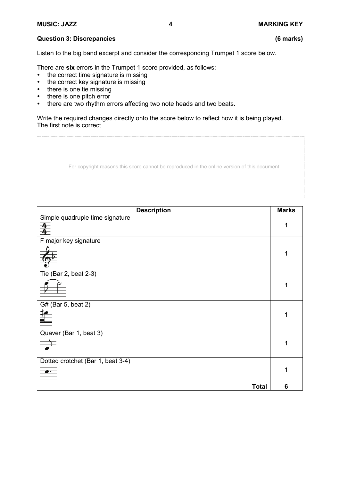# **Question 3: Discrepancies (6 marks)**

Listen to the big band excerpt and consider the corresponding Trumpet 1 score below.

There are **six** errors in the Trumpet 1 score provided, as follows:

- the correct time signature is missing
- the correct key signature is missing
- there is one tie missing
- there is one pitch error
- there are two rhythm errors affecting two note heads and two beats.

Write the required changes directly onto the score below to reflect how it is being played. The first note is correct.

| For copyright reasons this score cannot be reproduced in the online version of this document. |  |  |
|-----------------------------------------------------------------------------------------------|--|--|
|                                                                                               |  |  |

| <b>Description</b>                 | <b>Marks</b> |
|------------------------------------|--------------|
| Simple quadruple time signature    |              |
| 夆                                  | 1            |
| F major key signature              |              |
|                                    |              |
| $\overline{The}$ (Bar 2, beat 2-3) |              |
|                                    | 1            |
| G# (Bar 5, beat 2)                 |              |
| $\equiv$                           |              |
| Quaver (Bar 1, beat 3)             |              |
| $\overrightarrow{ }$               | 1            |
| Dotted crotchet (Bar 1, beat 3-4)  |              |
| $\frac{1}{\sqrt{2}}$               | 1            |
| <b>Total</b>                       | 6            |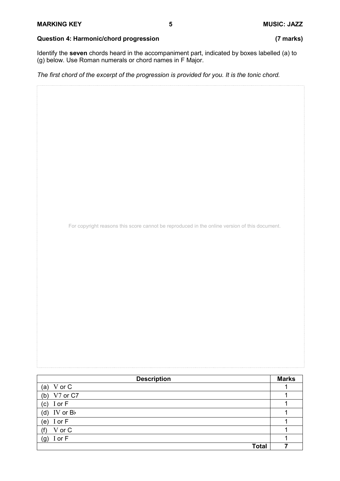### **Question 4: Harmonic/chord progression (7 marks)**

Identify the **seven** chords heard in the accompaniment part, indicated by boxes labelled (a) to (g) below. Use Roman numerals or chord names in F Major.

*The first chord of the excerpt of the progression is provided for you. It is the tonic chord.*

For copyright reasons this score cannot be reproduced in the online version of this document.

| <b>Description</b> | <b>Marks</b> |
|--------------------|--------------|
| (a) V or C         |              |
| V7 or C7<br>(b)    |              |
| (c) $I$ or $F$     |              |
| (d) IV or $B$      |              |
| (e) $I$ or $F$     |              |
| V or C<br>(f)      |              |
| I or F<br>(g)      |              |
| <b>Total</b>       |              |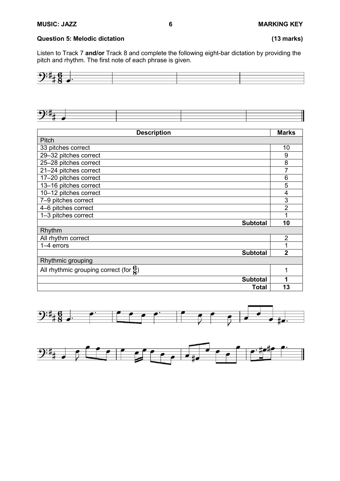### **Question 5: Melodic dictation (13 marks)**

Listen to Track 7 **and/or** Track 8 and complete the following eight-bar dictation by providing the pitch and rhythm. The first note of each phrase is given.





| <b>Description</b>                                 | <b>Marks</b>   |
|----------------------------------------------------|----------------|
| Pitch                                              |                |
| 33 pitches correct                                 | 10             |
| 29-32 pitches correct                              | 9              |
| 25-28 pitches correct                              | 8              |
| 21-24 pitches correct                              | 7              |
| 17-20 pitches correct                              | 6              |
| 13-16 pitches correct                              | 5              |
| 10-12 pitches correct                              | 4              |
| 7-9 pitches correct                                | 3              |
| 4-6 pitches correct                                | $\overline{2}$ |
| 1-3 pitches correct                                | 1              |
| <b>Subtotal</b>                                    | 10             |
| Rhythm                                             |                |
| All rhythm correct                                 | $\overline{2}$ |
| 1-4 errors                                         | 1              |
| <b>Subtotal</b>                                    | $\overline{2}$ |
| Rhythmic grouping                                  |                |
| All rhythmic grouping correct (for $\frac{6}{8}$ ) | 1              |
| <b>Subtotal</b>                                    | 1              |
| <b>Total</b>                                       | 13             |



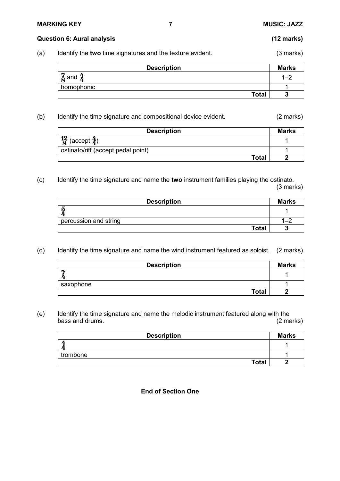#### **MARKING KEY 7 MUSIC: JAZZ**

#### **Question 6: Aural analysis (12 marks)**

(a) Identify the **two** time signatures and the texture evident. (3 marks)

| <b>Description</b>  | <b>Marks</b> |
|---------------------|--------------|
| ۰y<br>$\bm{\S}$ and |              |
| homophonic          |              |
| <b>Total</b>        |              |

(b) Identify the time signature and compositional device evident. (2 marks)

| <b>Description</b>                     | <b>Marks</b> |
|----------------------------------------|--------------|
| $\frac{12}{8}$ (accept $\frac{4}{4}$ ) |              |
| ostinato/riff (accept pedal point)     |              |
| Total                                  |              |

(c) Identify the time signature and name the **two** instrument families playing the ostinato. (3 marks)

| <b>Description</b>    | <b>Marks</b> |
|-----------------------|--------------|
| រា                    |              |
| percussion and string |              |
| <b>Total</b>          |              |

(d) Identify the time signature and name the wind instrument featured as soloist. (2 marks)

| <b>Description</b> | <b>Marks</b> |
|--------------------|--------------|
|                    |              |
| saxophone          |              |
| <b>Total</b>       |              |

(e) Identify the time signature and name the melodic instrument featured along with the bass and drums.

| <b>Description</b> | <b>Marks</b> |
|--------------------|--------------|
|                    |              |
| trombone           |              |
| <b>Total</b>       |              |

**End of Section One**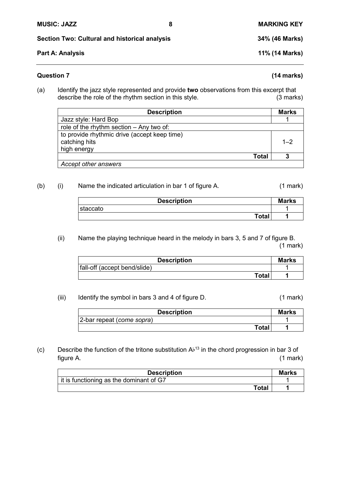**Section Two: Cultural and historical analysis 34% (46 Marks)**

# **Part A: Analysis 11% (14 Marks)**

# **Question 7 (14 marks)**

(a) Identify the jazz style represented and provide **two** observations from this excerpt that describe the role of the rhythm section in this style.

| <b>Description</b>                           | <b>Marks</b> |
|----------------------------------------------|--------------|
| Jazz style: Hard Bop                         |              |
| role of the rhythm section $-$ Any two of:   |              |
| to provide rhythmic drive (accept keep time) |              |
| catching hits                                | $1 - 2$      |
| high energy                                  |              |
| Total                                        | 3            |
| Accept other answers                         |              |

# (b) (i) Name the indicated articulation in bar 1 of figure A. (1 mark)

| <b>Description</b> | <b>Marks</b> |
|--------------------|--------------|
| staccato           |              |
| <b>Total</b>       |              |

# (ii) Name the playing technique heard in the melody in bars 3, 5 and 7 of figure B.

(1 mark)

| <b>Description</b>           | <b>Marks</b> |
|------------------------------|--------------|
| fall-off (accept bend/slide) |              |
| <b>Total</b>                 |              |

# (iii) Identify the symbol in bars 3 and 4 of figure D. (1 mark)

| <b>Description</b>        | <b>Marks</b> |
|---------------------------|--------------|
| 2-bar repeat (come sopra) |              |
| Total                     |              |

(c) Describe the function of the tritone substitution  $A<sup>b13</sup>$  in the chord progression in bar 3 of figure A. (1 mark)

| <b>Description</b>                      | <b>Marks</b> |
|-----------------------------------------|--------------|
| it is functioning as the dominant of G7 |              |
| Total                                   |              |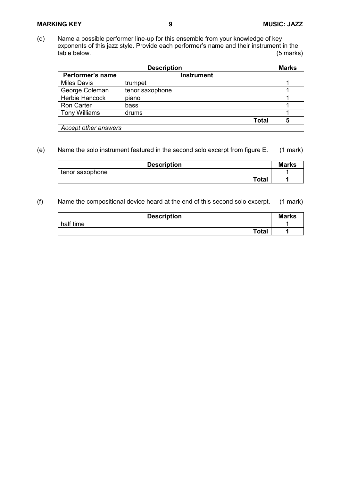#### **MARKING KEY 9 MUSIC: JAZZ**

(d) Name a possible performer line-up for this ensemble from your knowledge of key exponents of this jazz style. Provide each performer's name and their instrument in the table below. (5 marks) table below.

| <b>Description</b>   |                   |   |  |
|----------------------|-------------------|---|--|
| Performer's name     | <b>Instrument</b> |   |  |
| <b>Miles Davis</b>   | trumpet           |   |  |
| George Coleman       | tenor saxophone   |   |  |
| Herbie Hancock       | piano             |   |  |
| <b>Ron Carter</b>    | bass              |   |  |
| <b>Tony Williams</b> | drums             |   |  |
|                      | <b>Total</b>      | 5 |  |
| Accept other answers |                   |   |  |

#### (e) Name the solo instrument featured in the second solo excerpt from figure E. (1 mark)

| <b>Description</b> | <b>Marks</b> |
|--------------------|--------------|
| tenor saxophone    |              |
| Total              |              |

#### (f) Name the compositional device heard at the end of this second solo excerpt. (1 mark)

| <b>Description</b> | <b>Marks</b> |
|--------------------|--------------|
| half time          |              |
| <b>Total</b>       |              |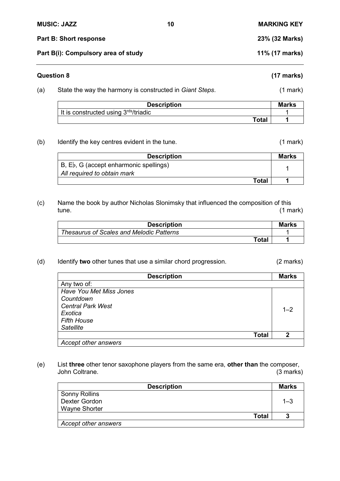|                                     | <b>MUSIC: JAZZ</b>                                       | 10             | <b>MARKING KEY</b>   |  |
|-------------------------------------|----------------------------------------------------------|----------------|----------------------|--|
|                                     | <b>Part B: Short response</b>                            | 23% (32 Marks) |                      |  |
| Part B(i): Compulsory area of study |                                                          |                | 11% (17 marks)       |  |
| <b>Question 8</b>                   |                                                          |                | $(17 \text{ marks})$ |  |
| (a)                                 | State the way the harmony is constructed in Giant Steps. |                | $(1$ mark $)$        |  |

| <b>Description</b>                                | <b>Marks</b> |
|---------------------------------------------------|--------------|
| It is constructed using 3 <sup>rds</sup> /triadic |              |
| <b>Total</b>                                      |              |

(b) Identify the key centres evident in the tune. (1 mark)

| <b>Description</b>                       | <b>Marks</b> |
|------------------------------------------|--------------|
| $B, Eb, G$ (accept enharmonic spellings) |              |
| All required to obtain mark              |              |
| Total                                    |              |

(c) Name the book by author Nicholas Slonimsky that influenced the composition of this tune. (1 mark) tune. (1 mark)

| <b>Description</b>                              | <b>Marks</b> |
|-------------------------------------------------|--------------|
| <b>Thesaurus of Scales and Melodic Patterns</b> |              |
| Total                                           |              |

(d) Identify **two** other tunes that use a similar chord progression. (2 marks)

| <b>Description</b>       | <b>Marks</b> |
|--------------------------|--------------|
| Any two of:              |              |
| Have You Met Miss Jones  |              |
| Countdown                |              |
| <b>Central Park West</b> | $1 - 2$      |
| Exotica                  |              |
| <b>Fifth House</b>       |              |
| <b>Satellite</b>         |              |
| <b>Total</b>             | 2            |
| Accept other answers     |              |

(e) List **three** other tenor saxophone players from the same era, **other than** the composer, John Coltrane.

| <b>Description</b>   | <b>Marks</b> |
|----------------------|--------------|
| <b>Sonny Rollins</b> |              |
| Dexter Gordon        | $1 - 3$      |
| <b>Wayne Shorter</b> |              |
| <b>Total</b>         |              |
| Accept other answers |              |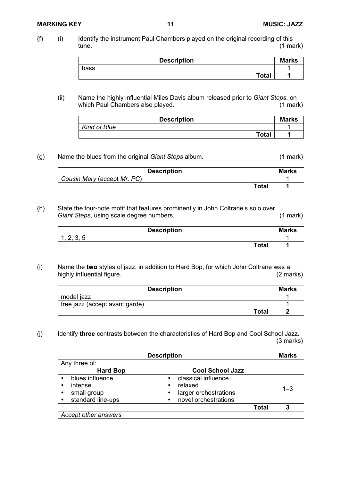#### **MARKING KEY 11 MUSIC: JAZZ**

| <b>Description</b> | <b>Marks</b> |
|--------------------|--------------|
| bass               |              |
| <b>Total</b>       |              |

### (ii) Name the highly influential Miles Davis album released prior to *Giant Steps*, on which Paul Chambers also played.

| <b>Description</b>  | <b>Marks</b> |
|---------------------|--------------|
| <b>Kind of Blue</b> |              |
| <b>Total</b>        |              |

## (g) Name the blues from the original *Giant Steps* album. (1 mark)

| <b>Description</b>          | <b>Marks</b> |
|-----------------------------|--------------|
| Cousin Mary (accept Mr. PC) |              |
| Total                       |              |

(h) State the four-note motif that features prominently in John Coltrane's solo over **Giant Steps**, using scale degree numbers. (1 mark)

| <b>Description</b>           | <b>Marks</b> |
|------------------------------|--------------|
| 2 E<br>⌒<br>v. v<br><u>.</u> |              |
| <b>Total</b>                 |              |

(i) Name the **two** styles of jazz, in addition to Hard Bop, for which John Coltrane was a highly influential figure.

| <b>Description</b>             | <b>Marks</b> |
|--------------------------------|--------------|
| modal jazz                     |              |
| free jazz (accept avant garde) |              |
| <b>Total</b>                   |              |

(j) Identify **three** contrasts between the characteristics of Hard Bop and Cool School Jazz. (3 marks)

|                                                                     | <b>Description</b>                                                              | <b>Marks</b> |
|---------------------------------------------------------------------|---------------------------------------------------------------------------------|--------------|
| Any three of:                                                       |                                                                                 |              |
| <b>Hard Bop</b>                                                     | <b>Cool School Jazz</b>                                                         |              |
| blues influence<br>intense<br>small group<br>٠<br>standard line-ups | classical influence<br>relaxed<br>larger orchestrations<br>novel orchestrations | $1 - 3$      |
|                                                                     | Total                                                                           | 3            |
| Accept other answers                                                |                                                                                 |              |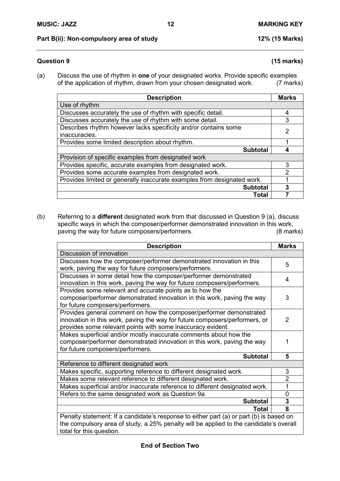### **Part B(ii): Non-compulsory area of study 12% (15 Marks)**

### **Question 9 (15 marks)**

(a) Discuss the use of rhythm in **one** of your designated works. Provide specific examples of the application of rhythm, drawn from your chosen designated work.

| <b>Description</b>                                                      | <b>Marks</b> |
|-------------------------------------------------------------------------|--------------|
| Use of rhythm                                                           |              |
| Discusses accurately the use of rhythm with specific detail.            | 4            |
| Discusses accurately the use of rhythm with some detail.                | 3            |
| Describes rhythm however lacks specificity and/or contains some         | 2            |
| inaccuracies.                                                           |              |
| Provides some limited description about rhythm.                         |              |
| <b>Subtotal</b>                                                         |              |
| Provision of specific examples from designated work                     |              |
| Provides specific, accurate examples from designated work.              | 3            |
| Provides some accurate examples from designated work.                   | 2            |
| Provides limited or generally inaccurate examples from designated work. |              |
| <b>Subtotal</b>                                                         | 3            |
| Total                                                                   |              |

(b) Referring to a **different** designated work from that discussed in Question 9 (a), discuss specific ways in which the composer/performer demonstrated innovation in this work,<br>paving the way for future composers/performers. (8 marks) paving the way for future composers/performers.

| <b>Description</b>                                                                      | <b>Marks</b>   |
|-----------------------------------------------------------------------------------------|----------------|
| Discussion of innovation                                                                |                |
| Discusses how the composer/performer demonstrated innovation in this                    | 5              |
| work, paving the way for future composers/performers.                                   |                |
| Discusses in some detail how the composer/performer demonstrated                        | 4              |
| innovation in this work, paving the way for future composers/performers.                |                |
| Provides some relevant and accurate points as to how the                                |                |
| composer/performer demonstrated innovation in this work, paving the way                 | 3              |
| for future composers/performers.                                                        |                |
| Provides general comment on how the composer/performer demonstrated                     |                |
| innovation in this work, paving the way for future composers/performers, or             | 2              |
| provides some relevant points with some inaccuracy evident.                             |                |
| Makes superficial and/or mostly inaccurate comments about how the                       |                |
| composer/performer demonstrated innovation in this work, paving the way                 | 1              |
| for future composers/performers.                                                        |                |
| <b>Subtotal</b>                                                                         | 5              |
| Reference to different designated work                                                  |                |
| Makes specific, supporting reference to different designated work.                      | 3              |
| Makes some relevant reference to different designated work.                             | $\overline{2}$ |
| Makes superficial and/or inaccurate reference to different designated work.             | 1              |
| Refers to the same designated work as Question 9a.                                      | $\Omega$       |
| <b>Subtotal</b>                                                                         | 3              |
| Total                                                                                   | 8              |
| Penalty statement: If a candidate's response to either part (a) or part (b) is based on |                |
| the compulsory area of study, a 25% penalty will be applied to the candidate's overall  |                |
| total for this question.                                                                |                |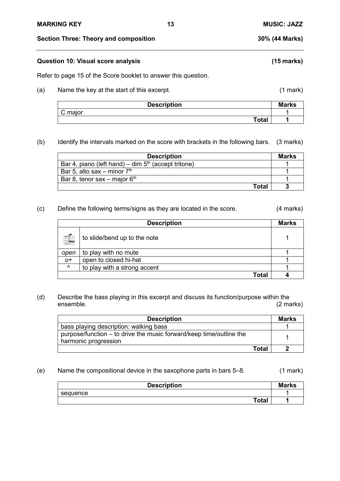**Section Three: Theory and composition 30% (44 Marks)**

### **Question 10: Visual score analysis (15 marks)**

Refer to page 15 of the Score booklet to answer this question.

(a) Name the key at the start of this excerpt. (1 mark)

| <b>Description</b> | <b>Marks</b> |
|--------------------|--------------|
| $\sim$<br>C major  |              |
| <b>Total</b>       |              |

(b) Identify the intervals marked on the score with brackets in the following bars. (3 marks)

| <b>Description</b>                                    | <b>Marks</b> |
|-------------------------------------------------------|--------------|
| Bar 4, piano (left hand) – dim $5th$ (accept tritone) |              |
| Bar 5, alto sax – minor $7th$                         |              |
| Bar 8, tenor sax – major $6th$                        |              |
| Total                                                 |              |

#### (c) Define the following terms/signs as they are located in the score. (4 marks)

| <b>Description</b> |                              |  |  |  |  |  |  |  |  |  |
|--------------------|------------------------------|--|--|--|--|--|--|--|--|--|
| $\triangleq$       | to slide/bend up to the note |  |  |  |  |  |  |  |  |  |
| open               | to play with no mute         |  |  |  |  |  |  |  |  |  |
| $O+$               | open to closed hi-hat        |  |  |  |  |  |  |  |  |  |
| $\lambda$          | to play with a strong accent |  |  |  |  |  |  |  |  |  |
|                    | Total                        |  |  |  |  |  |  |  |  |  |

(d) Describe the bass playing in this excerpt and discuss its function/purpose within the ensemble. ensemble. (2 marks)

| <b>Description</b>                                                  |       | Marks |
|---------------------------------------------------------------------|-------|-------|
| bass playing description: walking bass                              |       |       |
| purpose/function – to drive the music forward/keep time/outline the |       |       |
| harmonic progression                                                |       |       |
|                                                                     | Total |       |

#### (e) Name the compositional device in the saxophone parts in bars 5–8. (1 mark)

| <b>Description</b> | <b>Marks</b> |
|--------------------|--------------|
| sequence           |              |
| <b>Total</b>       |              |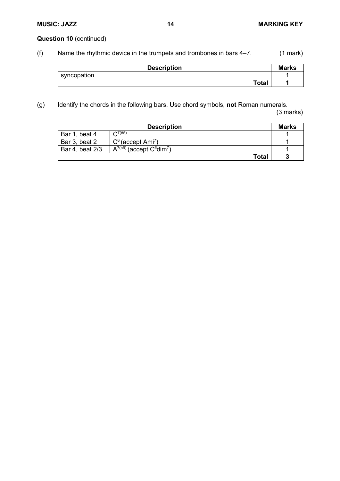# **Question 10** (continued)

(f) Name the rhythmic device in the trumpets and trombones in bars 4–7. (1 mark)

| <b>Description</b> | <b>Marks</b> |
|--------------------|--------------|
| syncopation        |              |
| Total              |              |

(g) Identify the chords in the following bars. Use chord symbols, **not** Roman numerals.

(3 marks)

| <b>Description</b> |                                                 |  |  |  |  |  |  |  |  |
|--------------------|-------------------------------------------------|--|--|--|--|--|--|--|--|
| Bar 1, beat 4      | $C^{7(\#5)}$                                    |  |  |  |  |  |  |  |  |
| Bar 3, beat 2      | $C6$ (accept Ami <sup>7</sup> )                 |  |  |  |  |  |  |  |  |
| Bar 4, beat 2/3    | $A^{7(b9)}$ (accept $C^{\#}$ dim <sup>7</sup> ) |  |  |  |  |  |  |  |  |
|                    | <b>Total</b>                                    |  |  |  |  |  |  |  |  |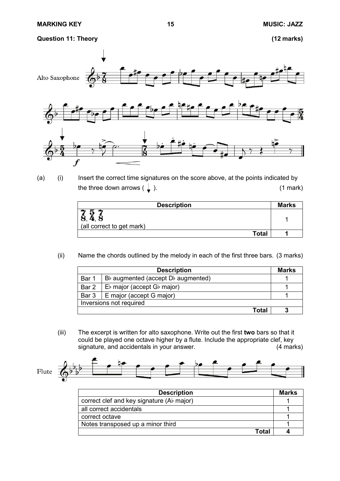**Question 11: Theory (12 marks)**



(a) (i) Insert the correct time signatures on the score above, at the points indicated by the three down arrows  $(\downarrow)$ . (1 mark)

| <b>Description</b>        | <b>Marks</b> |
|---------------------------|--------------|
| (all correct to get mark) |              |
| Total                     |              |

(ii) Name the chords outlined by the melody in each of the first three bars. (3 marks)

| <b>Description</b> |                                                |  |  |  |  |  |  |  |  |
|--------------------|------------------------------------------------|--|--|--|--|--|--|--|--|
| Bar 1              | $B\flat$ augmented (accept $D\flat$ augmented) |  |  |  |  |  |  |  |  |
| Bar 2              | $Eb$ major (accept G $\flat$ major)            |  |  |  |  |  |  |  |  |
| Bar 3              | $E$ major (accept G major)                     |  |  |  |  |  |  |  |  |
|                    | Inversions not required                        |  |  |  |  |  |  |  |  |
|                    | Total                                          |  |  |  |  |  |  |  |  |

(iii) The excerpt is written for alto saxophone. Write out the first **two** bars so that it could be played one octave higher by a flute. Include the appropriate clef, key<br>signature, and accidentals in your answer. (4 marks) signature, and accidentals in your answer.



| <b>Description</b>                           | <b>Marks</b> |
|----------------------------------------------|--------------|
| correct clef and key signature ( $Ab$ major) |              |
| all correct accidentals                      |              |
| correct octave                               |              |
| Notes transposed up a minor third            |              |
| Г∩tal                                        |              |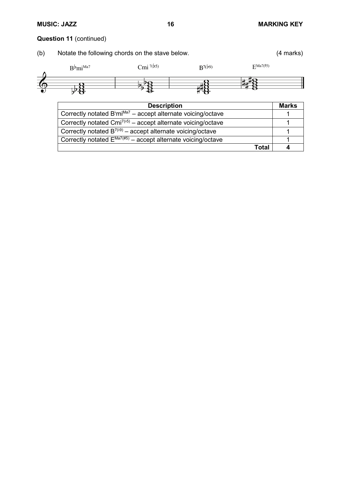# **MUSIC: JAZZ 16 MARKING KEY**

**Total 4**

# **Question 11** (continued)

| (b) | Notate the following chords on the stave below.                                      |                                                                             |             |                      |  |  |  |  |  |  |  |
|-----|--------------------------------------------------------------------------------------|-----------------------------------------------------------------------------|-------------|----------------------|--|--|--|--|--|--|--|
|     | $B^{\flat}$ mi <sup>Ma7</sup>                                                        | Cmi $^{7(b5)}$                                                              | $R^{7(b9)}$ | $\mathbf{F}$ Ma7(#5) |  |  |  |  |  |  |  |
|     |                                                                                      |                                                                             |             |                      |  |  |  |  |  |  |  |
|     | <b>Description</b>                                                                   |                                                                             |             |                      |  |  |  |  |  |  |  |
|     |                                                                                      | Correctly notated $B^b$ mi <sup>Ma7</sup> – accept alternate voicing/octave |             |                      |  |  |  |  |  |  |  |
|     | Correctly notated Cmi <sup>7(<math>5</math>)</sup> – accept alternate voicing/octave |                                                                             |             |                      |  |  |  |  |  |  |  |
|     | Correctly notated $B^{7(9)}$ – accept alternate voicing/octave                       |                                                                             |             |                      |  |  |  |  |  |  |  |
|     |                                                                                      | Correctly notated $E^{Ma7(\#5)}$ – accept alternate voicing/octave          |             |                      |  |  |  |  |  |  |  |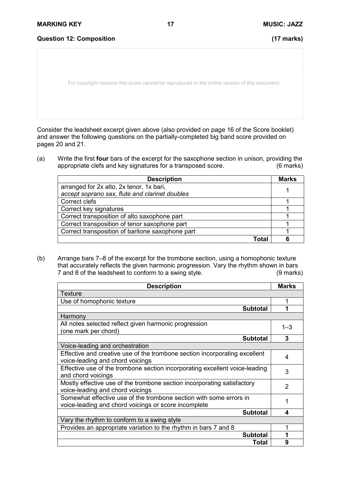For copyright reasons this score cannot be reproduced in the online version of this document.

Consider the leadsheet excerpt given above (also provided on page 16 of the Score booklet) and answer the following questions on the partially-completed big band score provided on pages 20 and 21.

(a) Write the first **four** bars of the excerpt for the saxophone section in unison, providing the appropriate clefs and key signatures for a transposed score.

| <b>Description</b>                               | <b>Marks</b> |
|--------------------------------------------------|--------------|
| arranged for 2x alto, 2x tenor, 1x bari,         |              |
| accept soprano sax, flute and clarinet doubles   |              |
| Correct clefs                                    |              |
| Correct key signatures                           |              |
| Correct transposition of alto saxophone part     |              |
| Correct transposition of tenor saxophone part    |              |
| Correct transposition of baritone saxophone part |              |
| Total                                            |              |

(b) Arrange bars 7–8 of the excerpt for the trombone section, using a homophonic texture that accurately reflects the given harmonic progression. Vary the rhythm shown in bars<br>7 and 8 of the leadsheet to conform to a swing style. (9 marks) 7 and 8 of the leadsheet to conform to a swing style.

| <b>Description</b>                                                          | <b>Marks</b> |
|-----------------------------------------------------------------------------|--------------|
| Texture                                                                     |              |
| Use of homophonic texture                                                   |              |
| <b>Subtotal</b>                                                             |              |
| Harmony                                                                     |              |
| All notes selected reflect given harmonic progression                       | $1 - 3$      |
| one mark per chord)                                                         |              |
| <b>Subtotal</b>                                                             | 3            |
| Voice-leading and orchestration                                             |              |
| Effective and creative use of the trombone section incorporating excellent  | 4            |
| voice-leading and chord voicings                                            |              |
| Effective use of the trombone section incorporating excellent voice-leading | 3            |
| and chord voicings                                                          |              |
| Mostly effective use of the trombone section incorporating satisfactory     | 2            |
| voice-leading and chord voicings                                            |              |
| Somewhat effective use of the trombone section with some errors in          | 1            |
| voice-leading and chord voicings or score incomplete                        |              |
| <b>Subtotal</b>                                                             | 4            |
| Vary the rhythm to conform to a swing style                                 |              |
| Provides an appropriate variation to the rhythm in bars 7 and 8             |              |
| <b>Subtotal</b>                                                             |              |
| Total                                                                       | 9            |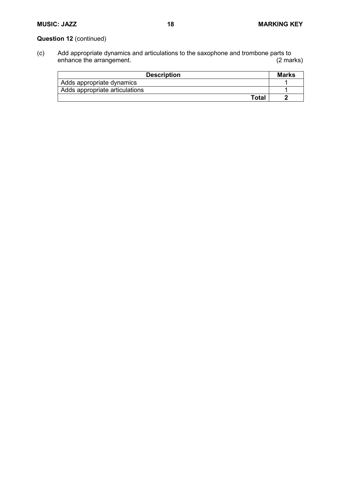# **Question 12** (continued)

(c) Add appropriate dynamics and articulations to the saxophone and trombone parts to enhance the arrangement.

| <b>Description</b>             | <b>Marks</b> |
|--------------------------------|--------------|
| Adds appropriate dynamics      |              |
| Adds appropriate articulations |              |
| Total                          |              |